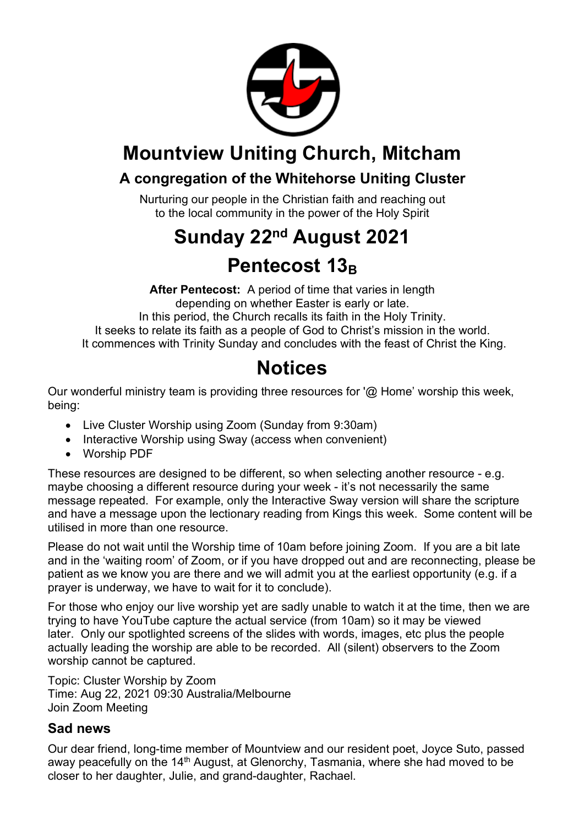

## **Mountview Uniting Church, Mitcham**

## **A congregation of the Whitehorse Uniting Cluster**

Nurturing our people in the Christian faith and reaching out to the local community in the power of the Holy Spirit

# **Sunday 22nd August 2021 Pentecost 13**<sub>B</sub>

**After Pentecost:** A period of time that varies in length depending on whether Easter is early or late. In this period, the Church recalls its faith in the Holy Trinity. It seeks to relate its faith as a people of God to Christ's mission in the world. It commences with Trinity Sunday and concludes with the feast of Christ the King.

## **Notices**

Our wonderful ministry team is providing three resources for '@ Home' worship this week, being:

- Live Cluster Worship using Zoom (Sunday from 9:30am)
- Interactive Worship using Sway (access when convenient)
- Worship PDF

These resources are designed to be different, so when selecting another resource - e.g. maybe choosing a different resource during your week - it's not necessarily the same message repeated. For example, only the Interactive Sway version will share the scripture and have a message upon the lectionary reading from Kings this week. Some content will be utilised in more than one resource.

Please do not wait until the Worship time of 10am before joining Zoom. If you are a bit late and in the 'waiting room' of Zoom, or if you have dropped out and are reconnecting, please be patient as we know you are there and we will admit you at the earliest opportunity (e.g. if a prayer is underway, we have to wait for it to conclude).

For those who enjoy our live worship yet are sadly unable to watch it at the time, then we are trying to have YouTube capture the actual service (from 10am) so it may be viewed later. Only our spotlighted screens of the slides with words, images, etc plus the people actually leading the worship are able to be recorded. All (silent) observers to the Zoom worship cannot be captured.

Topic: Cluster Worship by Zoom Time: Aug 22, 2021 09:30 Australia/Melbourne Join Zoom Meeting

#### **Sad news**

Our dear friend, long-time member of Mountview and our resident poet, Joyce Suto, passed away peacefully on the 14<sup>th</sup> August, at Glenorchy, Tasmania, where she had moved to be closer to her daughter, Julie, and grand-daughter, Rachael.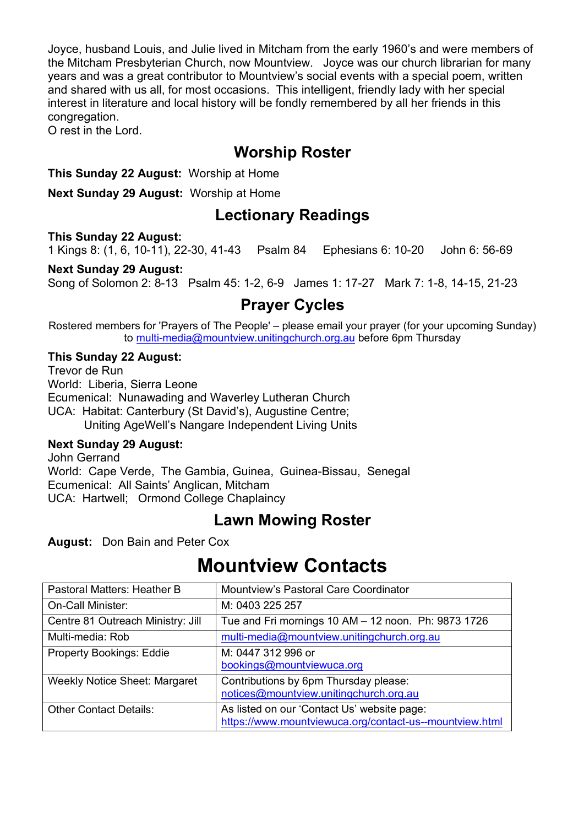Joyce, husband Louis, and Julie lived in Mitcham from the early 1960's and were members of the Mitcham Presbyterian Church, now Mountview. Joyce was our church librarian for many years and was a great contributor to Mountview's social events with a special poem, written and shared with us all, for most occasions. This intelligent, friendly lady with her special interest in literature and local history will be fondly remembered by all her friends in this congregation.

O rest in the Lord.

### **Worship Roster**

**This Sunday 22 August:** Worship at Home

**Next Sunday 29 August:** Worship at Home

#### **Lectionary Readings**

**This Sunday 22 August:** 

1 Kings 8: (1, 6, 10-11), 22-30, 41-43 Psalm 84 Ephesians 6: 10-20 John 6: 56-69

#### **Next Sunday 29 August:**

Song of Solomon 2: 8-13 Psalm 45: 1-2, 6-9 James 1: 17-27 Mark 7: 1-8, 14-15, 21-23

### **Prayer Cycles**

Rostered members for 'Prayers of The People' – please email your prayer (for your upcoming Sunday) to multi-media@mountview.unitingchurch.org.au before 6pm Thursday

#### **This Sunday 22 August:**

Trevor de Run World: Liberia, Sierra Leone Ecumenical: Nunawading and Waverley Lutheran Church UCA: Habitat: Canterbury (St David's), Augustine Centre; Uniting AgeWell's Nangare Independent Living Units

#### **Next Sunday 29 August:**

John Gerrand World: Cape Verde, The Gambia, Guinea, Guinea-Bissau, Senegal Ecumenical: All Saints' Anglican, Mitcham UCA: Hartwell; Ormond College Chaplaincy

### **Lawn Mowing Roster**

**August:** Don Bain and Peter Cox

## **Mountview Contacts**

| Pastoral Matters: Heather B          | Mountview's Pastoral Care Coordinator                                                                  |
|--------------------------------------|--------------------------------------------------------------------------------------------------------|
| <b>On-Call Minister:</b>             | M: 0403 225 257                                                                                        |
| Centre 81 Outreach Ministry: Jill    | Tue and Fri mornings 10 AM - 12 noon. Ph: 9873 1726                                                    |
| Multi-media: Rob                     | multi-media@mountview.unitingchurch.org.au                                                             |
| <b>Property Bookings: Eddie</b>      | M: 0447 312 996 or<br>bookings@mountviewuca.org                                                        |
| <b>Weekly Notice Sheet: Margaret</b> | Contributions by 6pm Thursday please:<br>notices@mountview.unitingchurch.org.au                        |
| <b>Other Contact Details:</b>        | As listed on our 'Contact Us' website page:<br>https://www.mountviewuca.org/contact-us--mountview.html |